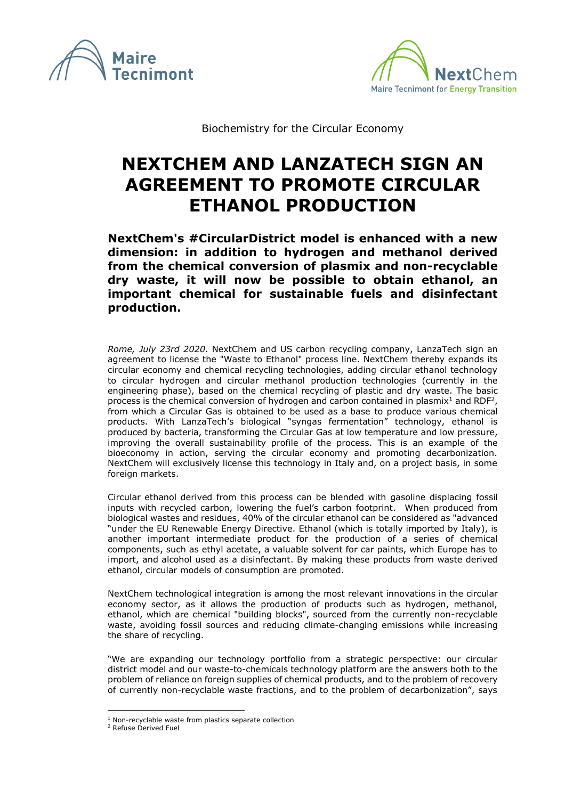



Biochemistry for the Circular Economy

## **NEXTCHEM AND LANZATECH SIGN AN AGREEMENT TO PROMOTE CIRCULAR ETHANOL PRODUCTION**

**NextChem's #CircularDistrict model is enhanced with a new dimension: in addition to hydrogen and methanol derived from the chemical conversion of plasmix and non-recyclable dry waste, it will now be possible to obtain ethanol, an important chemical for sustainable fuels and disinfectant production.**

*Rome, July 23rd 2020*. NextChem and US carbon recycling company, LanzaTech sign an agreement to license the "Waste to Ethanol" process line. NextChem thereby expands its circular economy and chemical recycling technologies, adding circular ethanol technology to circular hydrogen and circular methanol production technologies (currently in the engineering phase), based on the chemical recycling of plastic and dry waste. The basic process is the chemical conversion of hydrogen and carbon contained in plasmix<sup>1</sup> and RDF<sup>2</sup>, from which a Circular Gas is obtained to be used as a base to produce various chemical products. With LanzaTech's biological "syngas fermentation" technology, ethanol is produced by bacteria, transforming the Circular Gas at low temperature and low pressure, improving the overall sustainability profile of the process. This is an example of the bioeconomy in action, serving the circular economy and promoting decarbonization. NextChem will exclusively license this technology in Italy and, on a project basis, in some foreign markets.

Circular ethanol derived from this process can be blended with gasoline displacing fossil inputs with recycled carbon, lowering the fuel's carbon footprint. When produced from biological wastes and residues, 40% of the circular ethanol can be considered as "advanced "under the EU Renewable Energy Directive. Ethanol (which is totally imported by Italy), is another important intermediate product for the production of a series of chemical components, such as ethyl acetate, a valuable solvent for car paints, which Europe has to import, and alcohol used as a disinfectant. By making these products from waste derived ethanol, circular models of consumption are promoted.

NextChem technological integration is among the most relevant innovations in the circular economy sector, as it allows the production of products such as hydrogen, methanol, ethanol, which are chemical "building blocks", sourced from the currently non-recyclable waste, avoiding fossil sources and reducing climate-changing emissions while increasing the share of recycling.

"We are expanding our technology portfolio from a strategic perspective: our circular district model and our waste-to-chemicals technology platform are the answers both to the problem of reliance on foreign supplies of chemical products, and to the problem of recovery of currently non-recyclable waste fractions, and to the problem of decarbonization", says

 $1$  Non-recyclable waste from plastics separate collection

<sup>2</sup> Refuse Derived Fuel